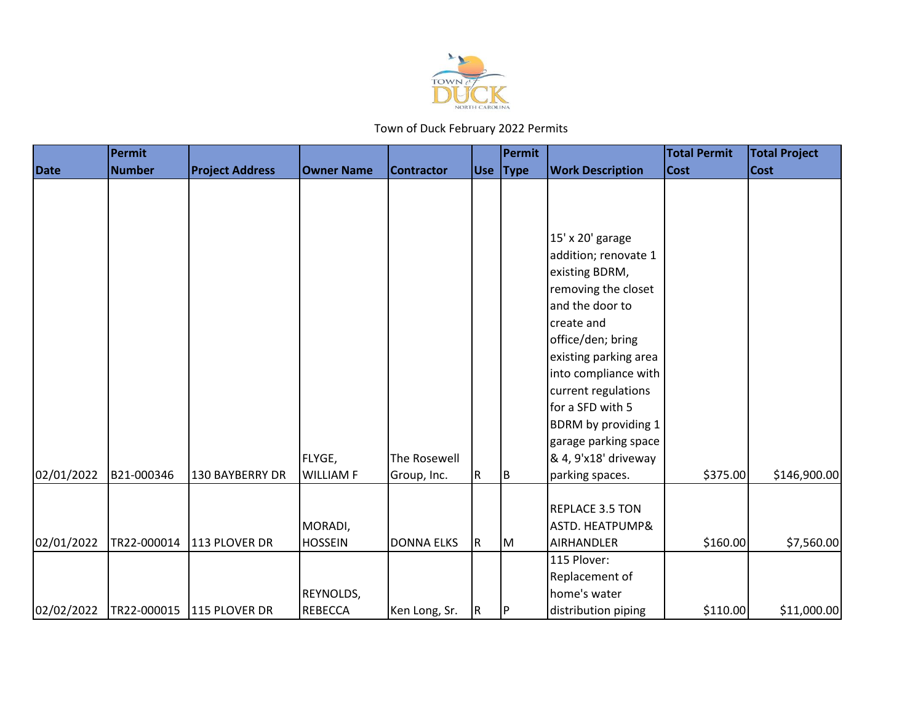

|             | <b>Permit</b> |                           |                   |                     |    | Permit   |                            | <b>Total Permit</b> | <b>Total Project</b> |
|-------------|---------------|---------------------------|-------------------|---------------------|----|----------|----------------------------|---------------------|----------------------|
| <b>Date</b> | <b>Number</b> | <b>Project Address</b>    | <b>Owner Name</b> | <b>Contractor</b>   |    | Use Type | <b>Work Description</b>    | <b>Cost</b>         | <b>Cost</b>          |
|             |               |                           |                   |                     |    |          |                            |                     |                      |
|             |               |                           |                   |                     |    |          |                            |                     |                      |
|             |               |                           |                   |                     |    |          |                            |                     |                      |
|             |               |                           |                   |                     |    |          | 15' x 20' garage           |                     |                      |
|             |               |                           |                   |                     |    |          | addition; renovate 1       |                     |                      |
|             |               |                           |                   |                     |    |          | existing BDRM,             |                     |                      |
|             |               |                           |                   |                     |    |          | removing the closet        |                     |                      |
|             |               |                           |                   |                     |    |          | and the door to            |                     |                      |
|             |               |                           |                   |                     |    |          | create and                 |                     |                      |
|             |               |                           |                   |                     |    |          | office/den; bring          |                     |                      |
|             |               |                           |                   |                     |    |          | existing parking area      |                     |                      |
|             |               |                           |                   |                     |    |          | into compliance with       |                     |                      |
|             |               |                           |                   |                     |    |          | current regulations        |                     |                      |
|             |               |                           |                   |                     |    |          | for a SFD with 5           |                     |                      |
|             |               |                           |                   |                     |    |          | BDRM by providing 1        |                     |                      |
|             |               |                           |                   |                     |    |          | garage parking space       |                     |                      |
|             |               |                           | FLYGE,            | <b>The Rosewell</b> |    |          | & 4, 9'x18' driveway       |                     |                      |
| 02/01/2022  | B21-000346    | 130 BAYBERRY DR           | <b>WILLIAM F</b>  | Group, Inc.         | R  | IB.      | parking spaces.            | \$375.00            | \$146,900.00         |
|             |               |                           |                   |                     |    |          | REPLACE 3.5 TON            |                     |                      |
|             |               |                           | MORADI,           |                     |    |          | <b>ASTD. HEATPUMP&amp;</b> |                     |                      |
| 02/01/2022  |               | TR22-000014 113 PLOVER DR | <b>HOSSEIN</b>    | <b>DONNA ELKS</b>   | R. | M        | <b>AIRHANDLER</b>          | \$160.00            | \$7,560.00           |
|             |               |                           |                   |                     |    |          | 115 Plover:                |                     |                      |
|             |               |                           |                   |                     |    |          | Replacement of             |                     |                      |
|             |               |                           | REYNOLDS,         |                     |    |          | home's water               |                     |                      |
| 02/02/2022  |               | TR22-000015 115 PLOVER DR | <b>REBECCA</b>    | Ken Long, Sr.       | R. | IP.      | distribution piping        | \$110.00            | \$11,000.00          |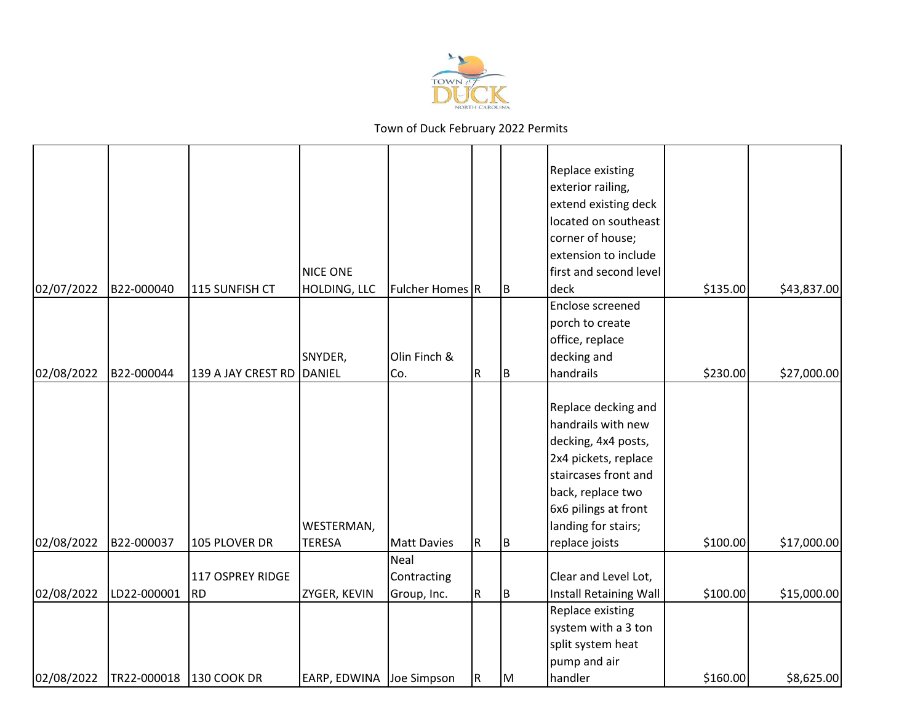

|            |             |                               |                                 |                            |                         |     | Replace existing<br>exterior railing,<br>extend existing deck<br>located on southeast<br>corner of house;<br>extension to include                                                                      |          |             |
|------------|-------------|-------------------------------|---------------------------------|----------------------------|-------------------------|-----|--------------------------------------------------------------------------------------------------------------------------------------------------------------------------------------------------------|----------|-------------|
| 02/07/2022 | B22-000040  | 115 SUNFISH CT                | <b>NICE ONE</b><br>HOLDING, LLC | Fulcher Homes R            |                         |     | first and second level<br>deck                                                                                                                                                                         | \$135.00 | \$43,837.00 |
|            |             |                               | SNYDER,                         | Olin Finch &               |                         | B   | Enclose screened<br>porch to create<br>office, replace<br>decking and                                                                                                                                  |          |             |
| 02/08/2022 | B22-000044  | 139 A JAY CREST RD            | DANIEL                          | Co.                        | R                       | Iв. | handrails                                                                                                                                                                                              | \$230.00 | \$27,000.00 |
| 02/08/2022 | B22-000037  | 105 PLOVER DR                 | WESTERMAN,<br><b>TERESA</b>     | <b>Matt Davies</b>         | R                       | IВ  | Replace decking and<br>handrails with new<br>decking, 4x4 posts,<br>2x4 pickets, replace<br>staircases front and<br>back, replace two<br>6x6 pilings at front<br>landing for stairs;<br>replace joists | \$100.00 | \$17,000.00 |
|            |             |                               |                                 | Neal                       |                         |     |                                                                                                                                                                                                        |          |             |
| 02/08/2022 | LD22-000001 | 117 OSPREY RIDGE<br><b>RD</b> | ZYGER, KEVIN                    | Contracting<br>Group, Inc. | $\mathsf R$             | B.  | Clear and Level Lot,<br>Install Retaining Wall                                                                                                                                                         | \$100.00 | \$15,000.00 |
| 02/08/2022 | TR22-000018 | 130 COOK DR                   | EARP, EDWINA Joe Simpson        |                            | $\overline{\mathsf{R}}$ | Iм  | Replace existing<br>system with a 3 ton<br>split system heat<br>pump and air<br>handler                                                                                                                | \$160.00 | \$8,625.00  |
|            |             |                               |                                 |                            |                         |     |                                                                                                                                                                                                        |          |             |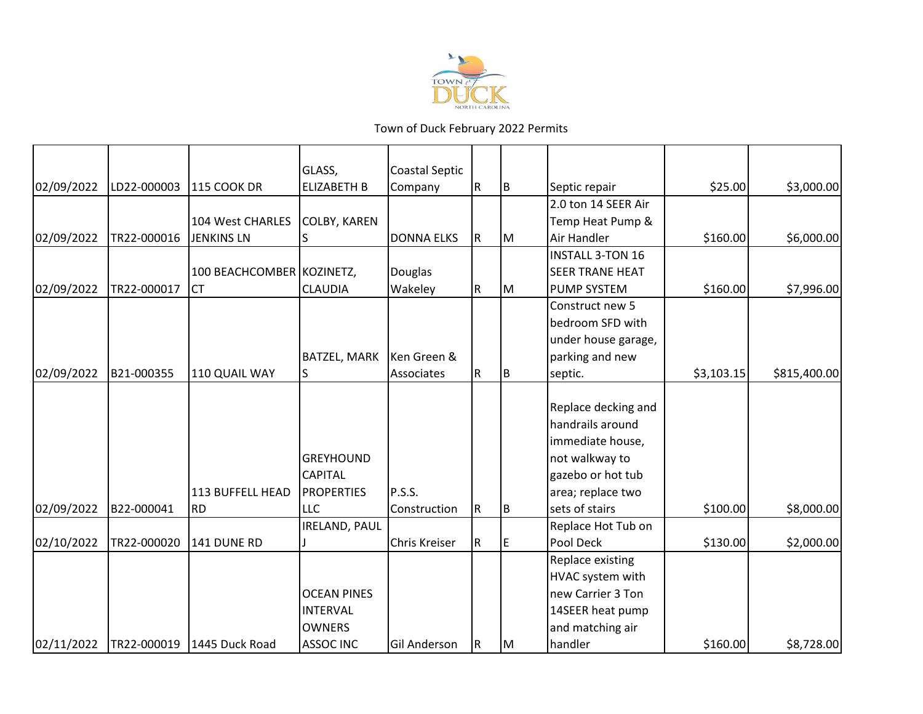

|            |             |                            | GLASS,               | Coastal Septic    |             |     |                         |            |              |
|------------|-------------|----------------------------|----------------------|-------------------|-------------|-----|-------------------------|------------|--------------|
| 02/09/2022 | LD22-000003 | <b>115 COOK DR</b>         | <b>ELIZABETH B</b>   | Company           | ${\sf R}$   | IB. | Septic repair           | \$25.00    | \$3,000.00   |
|            |             |                            |                      |                   |             |     | 2.0 ton 14 SEER Air     |            |              |
|            |             | 104 West CHARLES           | <b>COLBY, KAREN</b>  |                   |             |     | Temp Heat Pump &        |            |              |
| 02/09/2022 | TR22-000016 | <b>JENKINS LN</b>          |                      | <b>DONNA ELKS</b> | ${\sf R}$   | lм  | Air Handler             | \$160.00   | \$6,000.00   |
|            |             |                            |                      |                   |             |     | <b>INSTALL 3-TON 16</b> |            |              |
|            |             | 100 BEACHCOMBER KOZINETZ,  |                      | <b>Douglas</b>    |             |     | <b>SEER TRANE HEAT</b>  |            |              |
| 02/09/2022 | TR22-000017 | <b>CT</b>                  | <b>CLAUDIA</b>       | Wakeley           | R           | IМ  | <b>PUMP SYSTEM</b>      | \$160.00   | \$7,996.00   |
|            |             |                            |                      |                   |             |     | Construct new 5         |            |              |
|            |             |                            |                      |                   |             |     | bedroom SFD with        |            |              |
|            |             |                            |                      |                   |             |     | under house garage,     |            |              |
|            |             |                            | BATZEL, MARK         | Ken Green &       |             |     | parking and new         |            |              |
| 02/09/2022 | B21-000355  | 110 QUAIL WAY              | IS                   | Associates        | R           | B   | septic.                 | \$3,103.15 | \$815,400.00 |
|            |             |                            |                      |                   |             |     | Replace decking and     |            |              |
|            |             |                            |                      |                   |             |     | handrails around        |            |              |
|            |             |                            |                      |                   |             |     | immediate house,        |            |              |
|            |             |                            | <b>GREYHOUND</b>     |                   |             |     | not walkway to          |            |              |
|            |             |                            | <b>CAPITAL</b>       |                   |             |     | gazebo or hot tub       |            |              |
|            |             | 113 BUFFELL HEAD           | <b>PROPERTIES</b>    | P.S.S.            |             |     | area; replace two       |            |              |
| 02/09/2022 | B22-000041  | <b>RD</b>                  | <b>LLC</b>           | Construction      | ${\sf R}$   | B   | sets of stairs          | \$100.00   | \$8,000.00   |
|            |             |                            | <b>IRELAND, PAUL</b> |                   |             |     | Replace Hot Tub on      |            |              |
| 02/10/2022 | TR22-000020 | 141 DUNE RD                |                      | Chris Kreiser     | $\mathsf R$ | E   | Pool Deck               | \$130.00   | \$2,000.00   |
|            |             |                            |                      |                   |             |     | Replace existing        |            |              |
|            |             |                            |                      |                   |             |     | HVAC system with        |            |              |
|            |             |                            | <b>OCEAN PINES</b>   |                   |             |     | new Carrier 3 Ton       |            |              |
|            |             |                            | <b>INTERVAL</b>      |                   |             |     | 14SEER heat pump        |            |              |
|            |             |                            | <b>OWNERS</b>        |                   |             |     | and matching air        |            |              |
| 02/11/2022 |             | TR22-000019 1445 Duck Road | <b>ASSOC INC</b>     | Gil Anderson      | R           | lм  | handler                 | \$160.00   | \$8,728.00   |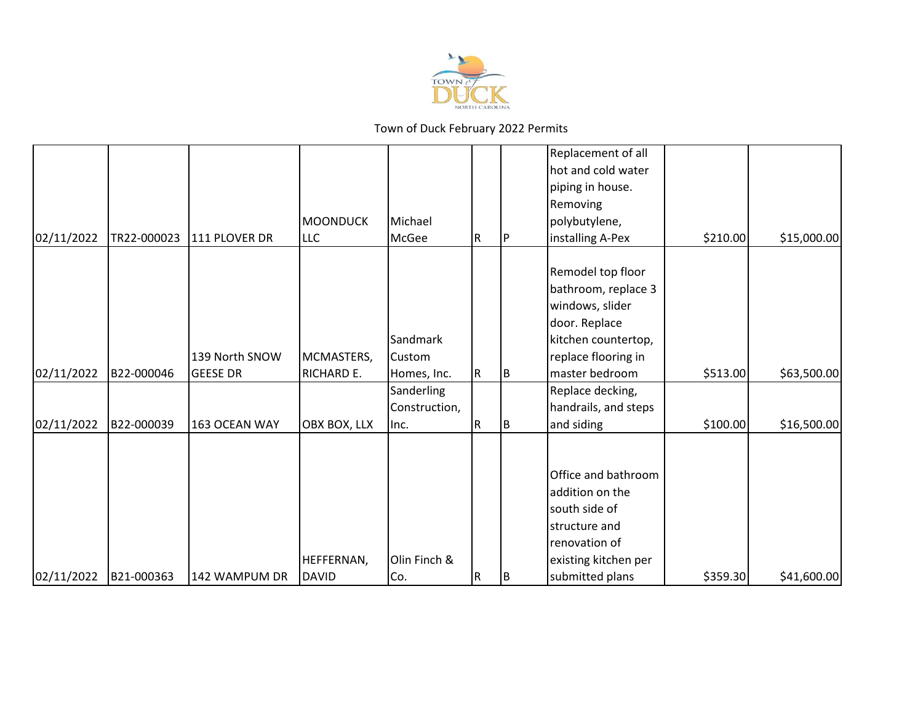

| 02/11/2022 | B21-000363  | 142 WAMPUM DR                     | HEFFERNAN,<br><b>DAVID</b>    | Olin Finch &<br>Co.                      | R   | IΒ | Office and bathroom<br>addition on the<br>south side of<br>structure and<br>renovation of<br>existing kitchen per<br>submitted plans         | \$359.30 | \$41,600.00 |
|------------|-------------|-----------------------------------|-------------------------------|------------------------------------------|-----|----|----------------------------------------------------------------------------------------------------------------------------------------------|----------|-------------|
| 02/11/2022 | B22-000039  | 163 OCEAN WAY                     | OBX BOX, LLX                  | Sanderling<br>Construction,<br>Inc.      | R   | ΙB | Replace decking,<br>handrails, and steps<br>and siding                                                                                       | \$100.00 | \$16,500.00 |
| 02/11/2022 | B22-000046  | 139 North SNOW<br><b>GEESE DR</b> | MCMASTERS,<br>RICHARD E.      | Sandmark<br><b>Custom</b><br>Homes, Inc. | IR. | IΒ | Remodel top floor<br>bathroom, replace 3<br>windows, slider<br>door. Replace<br>kitchen countertop,<br>replace flooring in<br>master bedroom | \$513.00 | \$63,500.00 |
| 02/11/2022 | TR22-000023 | 111 PLOVER DR                     | <b>MOONDUCK</b><br><b>LLC</b> | Michael<br>McGee                         | R.  |    | Replacement of all<br>hot and cold water<br>piping in house.<br>Removing<br>polybutylene,<br>installing A-Pex                                | \$210.00 | \$15,000.00 |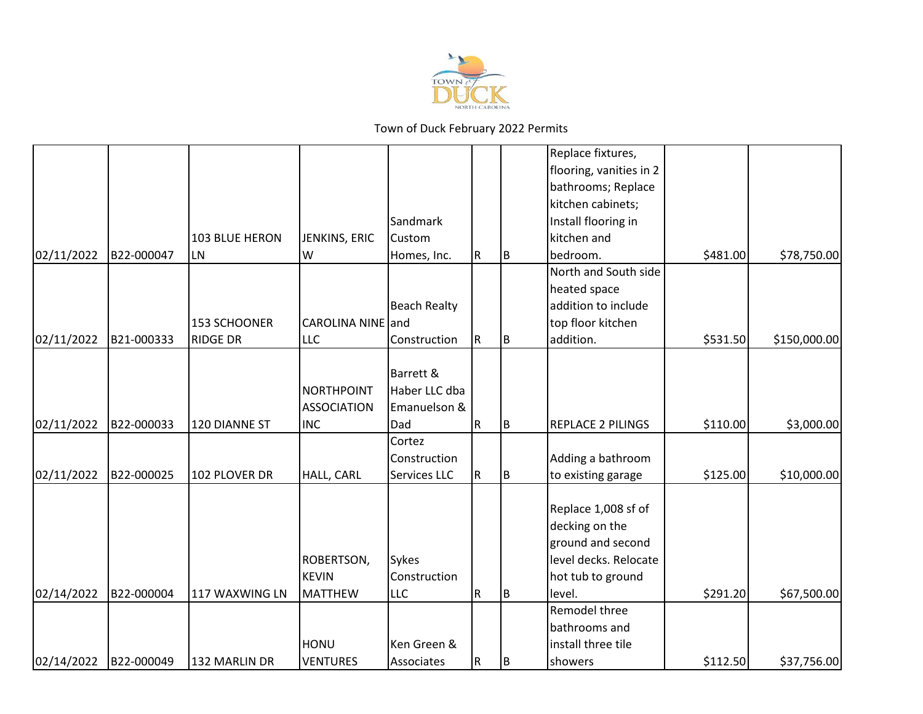

|            |            |                 |                    |                     |           |     | Replace fixtures,        |          |              |
|------------|------------|-----------------|--------------------|---------------------|-----------|-----|--------------------------|----------|--------------|
|            |            |                 |                    |                     |           |     | flooring, vanities in 2  |          |              |
|            |            |                 |                    |                     |           |     | bathrooms; Replace       |          |              |
|            |            |                 |                    |                     |           |     | kitchen cabinets;        |          |              |
|            |            |                 |                    | Sandmark            |           |     | Install flooring in      |          |              |
|            |            | 103 BLUE HERON  | JENKINS, ERIC      | <b>Custom</b>       |           |     | kitchen and              |          |              |
| 02/11/2022 | B22-000047 | LN              | W                  | Homes, Inc.         | R         | B   | bedroom.                 | \$481.00 | \$78,750.00  |
|            |            |                 |                    |                     |           |     | North and South side     |          |              |
|            |            |                 |                    |                     |           |     | heated space             |          |              |
|            |            |                 |                    | <b>Beach Realty</b> |           |     | addition to include      |          |              |
|            |            | 153 SCHOONER    | CAROLINA NINE and  |                     |           |     | top floor kitchen        |          |              |
| 02/11/2022 | B21-000333 | <b>RIDGE DR</b> | <b>LLC</b>         | Construction        | ${\sf R}$ | Iв. | addition.                | \$531.50 | \$150,000.00 |
|            |            |                 |                    |                     |           |     |                          |          |              |
|            |            |                 |                    | Barrett &           |           |     |                          |          |              |
|            |            |                 | <b>NORTHPOINT</b>  | Haber LLC dba       |           |     |                          |          |              |
|            |            |                 | <b>ASSOCIATION</b> | Emanuelson &        |           |     |                          |          |              |
| 02/11/2022 | B22-000033 | 120 DIANNE ST   | <b>INC</b>         | Dad                 | R         | ΙB. | <b>REPLACE 2 PILINGS</b> | \$110.00 | \$3,000.00   |
|            |            |                 |                    | Cortez              |           |     |                          |          |              |
|            |            |                 |                    | Construction        |           |     | Adding a bathroom        |          |              |
| 02/11/2022 | B22-000025 | 102 PLOVER DR   | HALL, CARL         | Services LLC        | R         | B   | to existing garage       | \$125.00 | \$10,000.00  |
|            |            |                 |                    |                     |           |     |                          |          |              |
|            |            |                 |                    |                     |           |     | Replace 1,008 sf of      |          |              |
|            |            |                 |                    |                     |           |     | decking on the           |          |              |
|            |            |                 |                    |                     |           |     | ground and second        |          |              |
|            |            |                 | ROBERTSON,         | Sykes               |           |     | level decks. Relocate    |          |              |
|            |            |                 | <b>KEVIN</b>       | Construction        |           |     | hot tub to ground        |          |              |
| 02/14/2022 | B22-000004 | 117 WAXWING LN  | <b>MATTHEW</b>     | <b>LLC</b>          | R         | Iв. | level.                   | \$291.20 | \$67,500.00  |
|            |            |                 |                    |                     |           |     | Remodel three            |          |              |
|            |            |                 |                    |                     |           |     | bathrooms and            |          |              |
|            |            |                 | <b>HONU</b>        | Ken Green &         |           |     | install three tile       |          |              |
| 02/14/2022 | B22-000049 | 132 MARLIN DR   | <b>VENTURES</b>    | Associates          | R         | IB. | showers                  | \$112.50 | \$37,756.00  |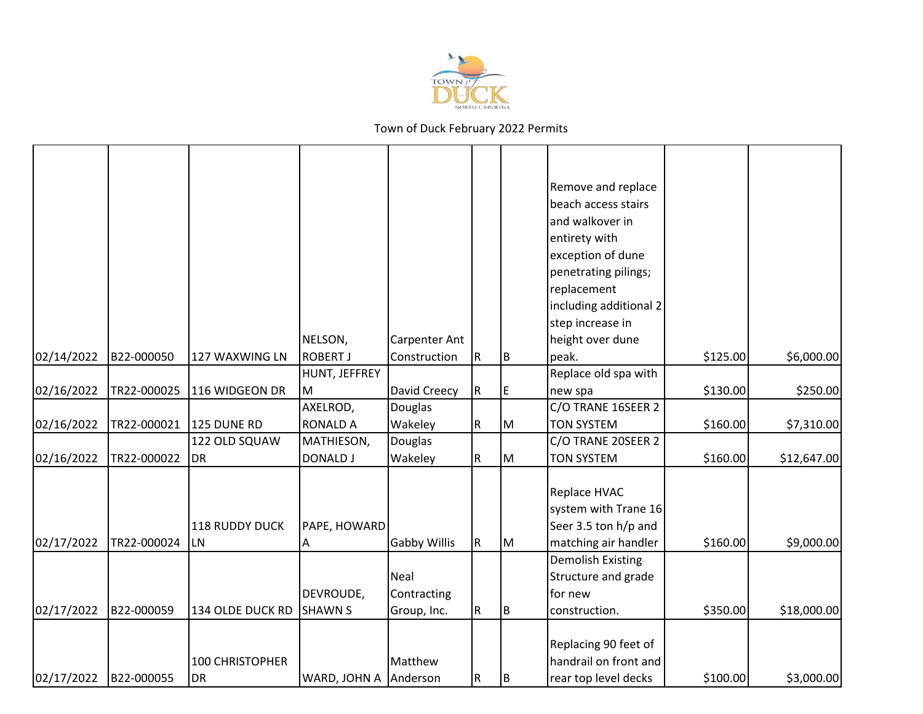

|            |             |                        |                       |                     |             |     | Remove and replace       |          |             |
|------------|-------------|------------------------|-----------------------|---------------------|-------------|-----|--------------------------|----------|-------------|
|            |             |                        |                       |                     |             |     | beach access stairs      |          |             |
|            |             |                        |                       |                     |             |     | and walkover in          |          |             |
|            |             |                        |                       |                     |             |     | entirety with            |          |             |
|            |             |                        |                       |                     |             |     | exception of dune        |          |             |
|            |             |                        |                       |                     |             |     | penetrating pilings;     |          |             |
|            |             |                        |                       |                     |             |     | replacement              |          |             |
|            |             |                        |                       |                     |             |     | including additional 2   |          |             |
|            |             |                        |                       |                     |             |     | step increase in         |          |             |
|            |             |                        | NELSON,               | Carpenter Ant       |             |     | height over dune         |          |             |
| 02/14/2022 | B22-000050  | 127 WAXWING LN         | <b>ROBERT J</b>       | Construction        | $\mathsf R$ | B   | peak.                    | \$125.00 | \$6,000.00  |
|            |             |                        | HUNT, JEFFREY         |                     |             |     | Replace old spa with     |          |             |
| 02/16/2022 | TR22-000025 | 116 WIDGEON DR         | lм                    | David Creecy        | ${\sf R}$   | ΙE  | new spa                  | \$130.00 | \$250.00    |
|            |             |                        | AXELROD,              | Douglas             |             |     | C/O TRANE 16SEER 2       |          |             |
| 02/16/2022 | TR22-000021 | 125 DUNE RD            | <b>RONALD A</b>       | Wakeley             | ${\sf R}$   | IМ  | <b>TON SYSTEM</b>        | \$160.00 | \$7,310.00  |
|            |             | 122 OLD SQUAW          | MATHIESON,            | Douglas             |             |     | C/O TRANE 20SEER 2       |          |             |
| 02/16/2022 | TR22-000022 | <b>DR</b>              | <b>DONALD J</b>       | Wakeley             | R           | Iм  | <b>TON SYSTEM</b>        | \$160.00 | \$12,647.00 |
|            |             |                        |                       |                     |             |     |                          |          |             |
|            |             |                        |                       |                     |             |     | Replace HVAC             |          |             |
|            |             |                        |                       |                     |             |     | system with Trane 16     |          |             |
|            |             | <b>118 RUDDY DUCK</b>  | PAPE, HOWARD          |                     |             |     | Seer 3.5 ton h/p and     |          |             |
| 02/17/2022 | TR22-000024 | LN                     | A                     | <b>Gabby Willis</b> | ${\sf R}$   | Iм  | matching air handler     | \$160.00 | \$9,000.00  |
|            |             |                        |                       |                     |             |     | <b>Demolish Existing</b> |          |             |
|            |             |                        |                       | Neal                |             |     | Structure and grade      |          |             |
|            |             |                        | DEVROUDE,             | Contracting         |             |     | for new                  |          |             |
| 02/17/2022 | B22-000059  | 134 OLDE DUCK RD       | <b>SHAWN S</b>        | Group, Inc.         | $\mathsf R$ | IB. | construction.            | \$350.00 | \$18,000.00 |
|            |             |                        |                       |                     |             |     |                          |          |             |
|            |             |                        |                       |                     |             |     | Replacing 90 feet of     |          |             |
|            |             | <b>100 CHRISTOPHER</b> |                       | Matthew             |             |     | handrail on front and    |          |             |
| 02/17/2022 | B22-000055  | <b>DR</b>              | WARD, JOHN A Anderson |                     | $\mathsf R$ | B   | rear top level decks     | \$100.00 | \$3,000.00  |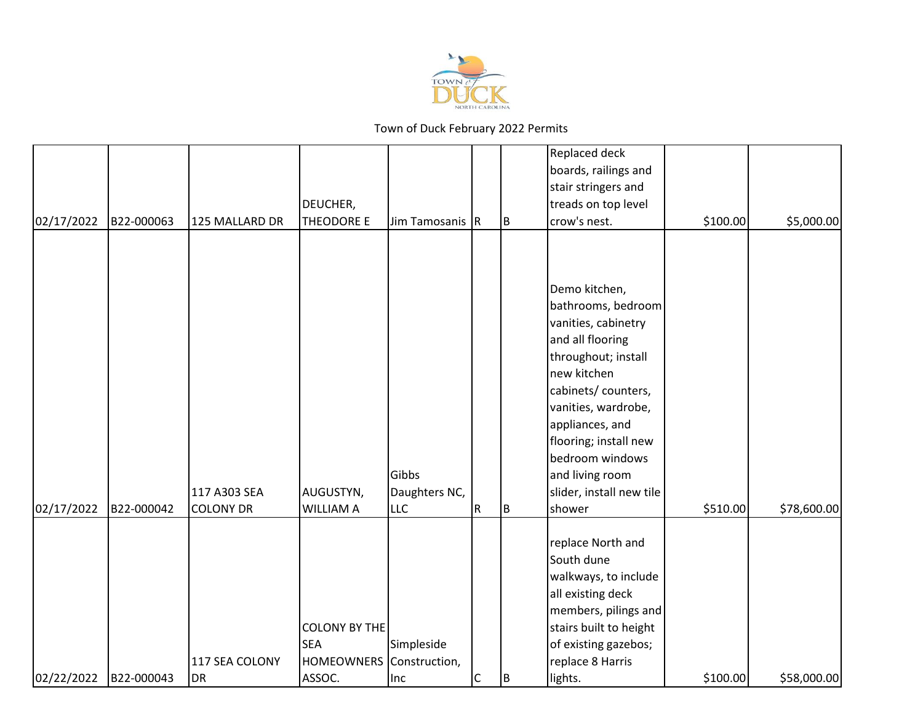

|            |            |                  |                                                                |                        |                         |    | Replaced deck                                                                                                                                                                                                                                                                    |          |             |
|------------|------------|------------------|----------------------------------------------------------------|------------------------|-------------------------|----|----------------------------------------------------------------------------------------------------------------------------------------------------------------------------------------------------------------------------------------------------------------------------------|----------|-------------|
|            |            |                  |                                                                |                        |                         |    | boards, railings and                                                                                                                                                                                                                                                             |          |             |
|            |            |                  |                                                                |                        |                         |    | stair stringers and                                                                                                                                                                                                                                                              |          |             |
|            |            |                  | DEUCHER,                                                       |                        |                         |    | treads on top level                                                                                                                                                                                                                                                              |          |             |
| 02/17/2022 | B22-000063 | 125 MALLARD DR   | <b>THEODORE E</b>                                              | Jim Tamosanis R        |                         | lв | crow's nest.                                                                                                                                                                                                                                                                     | \$100.00 | \$5,000.00  |
|            |            | 117 A303 SEA     | AUGUSTYN,                                                      | Gibbs<br>Daughters NC, |                         |    | Demo kitchen,<br>bathrooms, bedroom<br>vanities, cabinetry<br>and all flooring<br>throughout; install<br>new kitchen<br>cabinets/ counters,<br>vanities, wardrobe,<br>appliances, and<br>flooring; install new<br>bedroom windows<br>and living room<br>slider, install new tile |          |             |
| 02/17/2022 | B22-000042 | <b>COLONY DR</b> | <b>WILLIAM A</b>                                               | <b>LLC</b>             | $\overline{\mathsf{R}}$ | Iв | shower                                                                                                                                                                                                                                                                           | \$510.00 | \$78,600.00 |
|            |            | 117 SEA COLONY   | <b>COLONY BY THE</b><br><b>SEA</b><br>HOMEOWNERS Construction, | Simpleside             |                         |    | replace North and<br>South dune<br>walkways, to include<br>all existing deck<br>members, pilings and<br>stairs built to height<br>of existing gazebos;<br>replace 8 Harris                                                                                                       |          |             |
| 02/22/2022 | B22-000043 | <b>DR</b>        | ASSOC.                                                         | Inc                    | $\mathsf{C}$            | Iв | lights.                                                                                                                                                                                                                                                                          | \$100.00 | \$58,000.00 |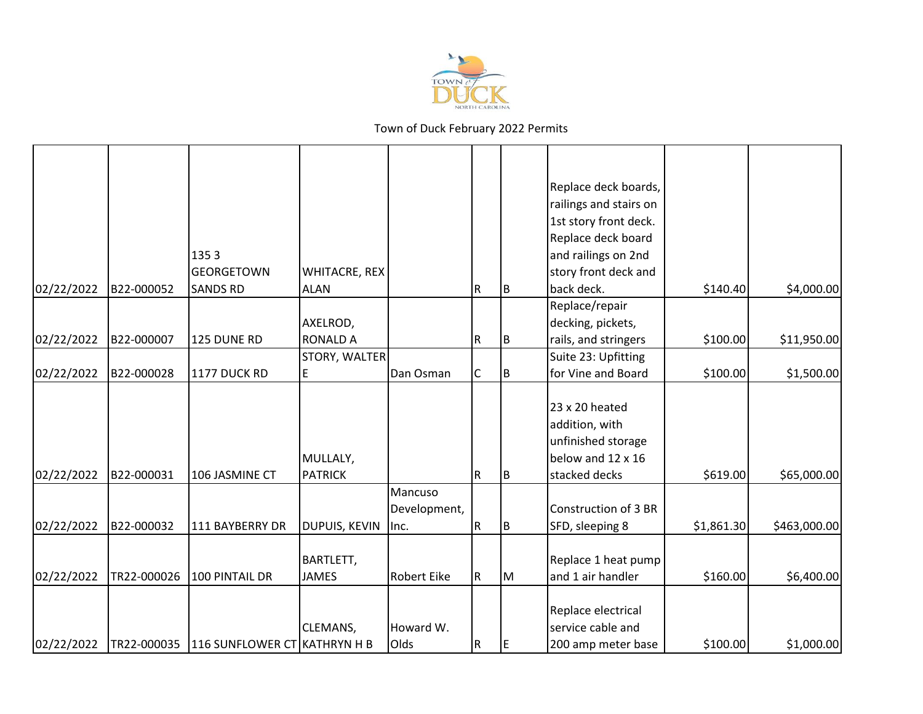

|            |             |                                          |                 |                    |           |     | Replace deck boards,   |            |              |
|------------|-------------|------------------------------------------|-----------------|--------------------|-----------|-----|------------------------|------------|--------------|
|            |             |                                          |                 |                    |           |     | railings and stairs on |            |              |
|            |             |                                          |                 |                    |           |     | 1st story front deck.  |            |              |
|            |             |                                          |                 |                    |           |     | Replace deck board     |            |              |
|            |             | 1353                                     |                 |                    |           |     | and railings on 2nd    |            |              |
|            |             | <b>GEORGETOWN</b>                        | WHITACRE, REX   |                    |           |     | story front deck and   |            |              |
| 02/22/2022 | B22-000052  | <b>SANDS RD</b>                          | <b>ALAN</b>     |                    | R         | B   | back deck.             | \$140.40   | \$4,000.00   |
|            |             |                                          |                 |                    |           |     | Replace/repair         |            |              |
|            |             |                                          | AXELROD,        |                    |           |     | decking, pickets,      |            |              |
| 02/22/2022 | B22-000007  | 125 DUNE RD                              | <b>RONALD A</b> |                    | R         | ΙB. | rails, and stringers   | \$100.00   | \$11,950.00  |
|            |             |                                          | STORY, WALTER   |                    |           |     | Suite 23: Upfitting    |            |              |
| 02/22/2022 | B22-000028  | 1177 DUCK RD                             | E               | Dan Osman          | C         | B   | for Vine and Board     | \$100.00   | \$1,500.00   |
|            |             |                                          |                 |                    |           |     |                        |            |              |
|            |             |                                          |                 |                    |           |     | 23 x 20 heated         |            |              |
|            |             |                                          |                 |                    |           |     | addition, with         |            |              |
|            |             |                                          |                 |                    |           |     | unfinished storage     |            |              |
|            |             |                                          | MULLALY,        |                    |           |     | below and 12 x 16      |            |              |
| 02/22/2022 | B22-000031  | 106 JASMINE CT                           | <b>PATRICK</b>  |                    | R         | ΙB. | stacked decks          | \$619.00   | \$65,000.00  |
|            |             |                                          |                 | Mancuso            |           |     |                        |            |              |
|            |             |                                          |                 | Development,       |           |     | Construction of 3 BR   |            |              |
| 02/22/2022 | B22-000032  | 111 BAYBERRY DR                          | DUPUIS, KEVIN   | $ $ Inc.           | R         | IB. | SFD, sleeping 8        | \$1,861.30 | \$463,000.00 |
|            |             |                                          |                 |                    |           |     |                        |            |              |
|            |             |                                          | BARTLETT,       |                    |           |     | Replace 1 heat pump    |            |              |
| 02/22/2022 | TR22-000026 | 100 PINTAIL DR                           | <b>JAMES</b>    | <b>Robert Eike</b> | R         | lм  | and 1 air handler      | \$160.00   | \$6,400.00   |
|            |             |                                          |                 |                    |           |     |                        |            |              |
|            |             |                                          |                 |                    |           |     | Replace electrical     |            |              |
|            |             |                                          | CLEMANS,        | Howard W.          |           |     | service cable and      |            |              |
| 02/22/2022 |             | TR22-000035 116 SUNFLOWER CT KATHRYN H B |                 | Olds               | ${\sf R}$ | E   | 200 amp meter base     | \$100.00   | \$1,000.00   |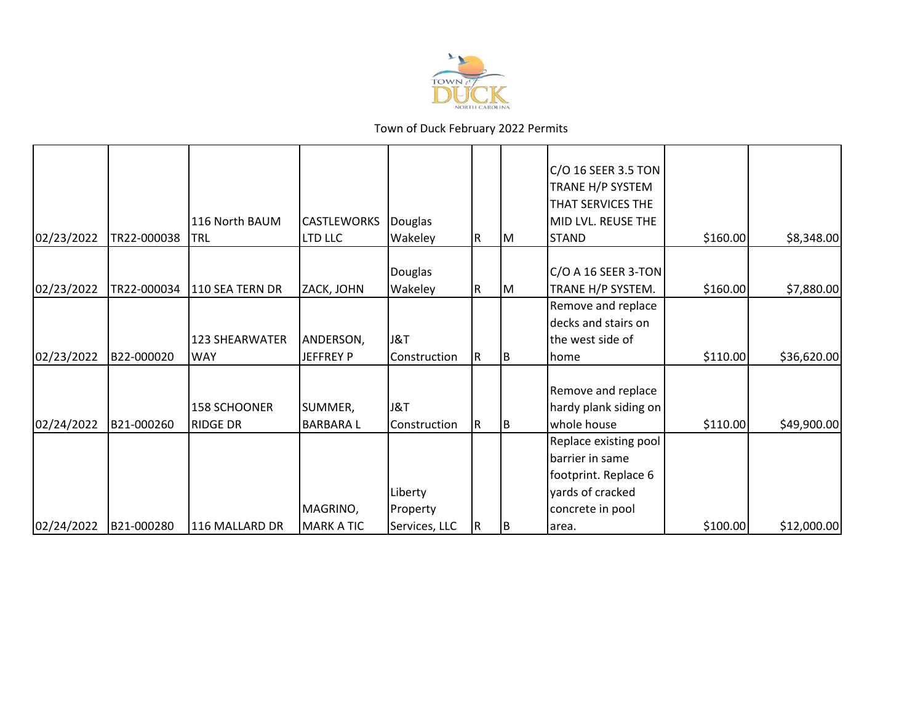

|             |                           |                                                 |                                                  |                                    |     | C/O 16 SEER 3.5 TON<br>TRANE H/P SYSTEM<br>THAT SERVICES THE                                                      |                                                   |                                                                       |
|-------------|---------------------------|-------------------------------------------------|--------------------------------------------------|------------------------------------|-----|-------------------------------------------------------------------------------------------------------------------|---------------------------------------------------|-----------------------------------------------------------------------|
|             |                           |                                                 |                                                  |                                    |     |                                                                                                                   |                                                   |                                                                       |
|             |                           |                                                 |                                                  |                                    |     |                                                                                                                   |                                                   | \$8,348.00                                                            |
| TR22-000034 | 110 SEA TERN DR           | ZACK, JOHN                                      | <b>Douglas</b><br>Wakeley                        | R.                                 | IМ  | TRANE H/P SYSTEM.                                                                                                 |                                                   | \$7,880.00                                                            |
|             | 123 SHEARWATER            | ANDERSON,                                       | J&T                                              |                                    |     | Remove and replace<br>decks and stairs on<br>the west side of                                                     |                                                   |                                                                       |
| B22-000020  | <b>WAY</b>                | <b>JEFFREY P</b>                                | Construction                                     | IR.                                | ΙB  | home                                                                                                              |                                                   | \$36,620.00                                                           |
|             | <b>158 SCHOONER</b>       | SUMMER,                                         | J&T                                              | IR.                                |     | Remove and replace<br>hardy plank siding on                                                                       |                                                   | \$49,900.00                                                           |
| B21-000280  | 116 MALLARD DR            | MAGRINO,<br><b>MARK A TIC</b>                   | Liberty<br>Property<br>Services, LLC             | R                                  | ΙB  | Replace existing pool<br>barrier in same<br>footprint. Replace 6<br>yards of cracked<br>concrete in pool<br>area. | \$100.00                                          | \$12,000.00                                                           |
|             | TR22-000038<br>B21-000260 | 116 North BAUM<br><b>TRL</b><br><b>RIDGE DR</b> | <b>CASTLEWORKS</b><br>LTD LLC<br><b>BARBARAL</b> | Douglas<br>Wakeley<br>Construction | IR. | IМ<br>IB.                                                                                                         | MID LVL. REUSE THE<br><b>STAND</b><br>whole house | \$160.00<br>$C/O$ A 16 SEER 3-TON<br>\$160.00<br>\$110.00<br>\$110.00 |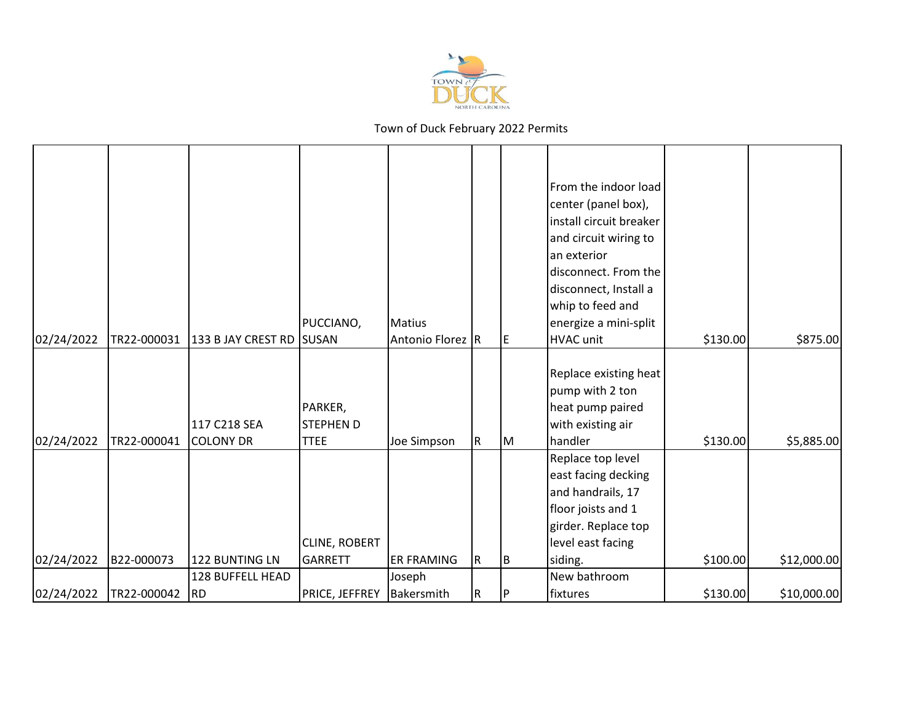

| Replace existing heat<br>pump with 2 ton<br>PARKER,<br>heat pump paired<br>117 C218 SEA<br><b>STEPHEN D</b><br>with existing air<br>\$130.00<br>02/24/2022<br>TR22-000041<br><b>COLONY DR</b><br><b>TTEE</b><br>handler<br>Joe Simpson<br>IR.<br>M<br>Replace top level<br>east facing decking<br>and handrails, 17 | 02/24/2022 | TR22-000031 | 133 B JAY CREST RD | PUCCIANO,<br><b>SUSAN</b> | Matius<br>Antonio Florez R | IE. | From the indoor load<br>center (panel box),<br>install circuit breaker<br>and circuit wiring to<br>an exterior<br>disconnect. From the<br>disconnect, Install a<br>whip to feed and<br>energize a mini-split<br><b>HVAC unit</b> | \$130.00 | \$875.00    |
|---------------------------------------------------------------------------------------------------------------------------------------------------------------------------------------------------------------------------------------------------------------------------------------------------------------------|------------|-------------|--------------------|---------------------------|----------------------------|-----|----------------------------------------------------------------------------------------------------------------------------------------------------------------------------------------------------------------------------------|----------|-------------|
|                                                                                                                                                                                                                                                                                                                     |            |             |                    |                           |                            |     |                                                                                                                                                                                                                                  |          |             |
|                                                                                                                                                                                                                                                                                                                     |            |             |                    |                           |                            |     |                                                                                                                                                                                                                                  |          |             |
|                                                                                                                                                                                                                                                                                                                     |            |             |                    |                           |                            |     |                                                                                                                                                                                                                                  |          |             |
|                                                                                                                                                                                                                                                                                                                     |            |             |                    |                           |                            |     |                                                                                                                                                                                                                                  |          |             |
|                                                                                                                                                                                                                                                                                                                     |            |             |                    |                           |                            |     |                                                                                                                                                                                                                                  |          | \$5,885.00  |
|                                                                                                                                                                                                                                                                                                                     |            |             |                    |                           |                            |     |                                                                                                                                                                                                                                  |          |             |
|                                                                                                                                                                                                                                                                                                                     |            |             |                    |                           |                            |     |                                                                                                                                                                                                                                  |          |             |
|                                                                                                                                                                                                                                                                                                                     |            |             |                    |                           |                            |     |                                                                                                                                                                                                                                  |          |             |
|                                                                                                                                                                                                                                                                                                                     |            |             |                    |                           |                            |     | floor joists and 1                                                                                                                                                                                                               |          |             |
| girder. Replace top                                                                                                                                                                                                                                                                                                 |            |             |                    |                           |                            |     |                                                                                                                                                                                                                                  |          |             |
| <b>CLINE, ROBERT</b><br>level east facing<br>122 BUNTING LN                                                                                                                                                                                                                                                         |            |             |                    |                           |                            |     |                                                                                                                                                                                                                                  |          |             |
| \$100.00<br>02/24/2022<br>B22-000073<br><b>GARRETT</b><br><b>ER FRAMING</b><br>siding.<br>IR.<br>IΒ<br>New bathroom<br>128 BUFFELL HEAD                                                                                                                                                                             |            |             |                    |                           |                            |     |                                                                                                                                                                                                                                  |          | \$12,000.00 |
| Joseph<br>\$130.00<br>02/24/2022<br>PRICE, JEFFREY<br>TR22-000042<br><b>RD</b><br>Bakersmith<br>fixtures<br>IR.<br>I P                                                                                                                                                                                              |            |             |                    |                           |                            |     |                                                                                                                                                                                                                                  |          | \$10,000.00 |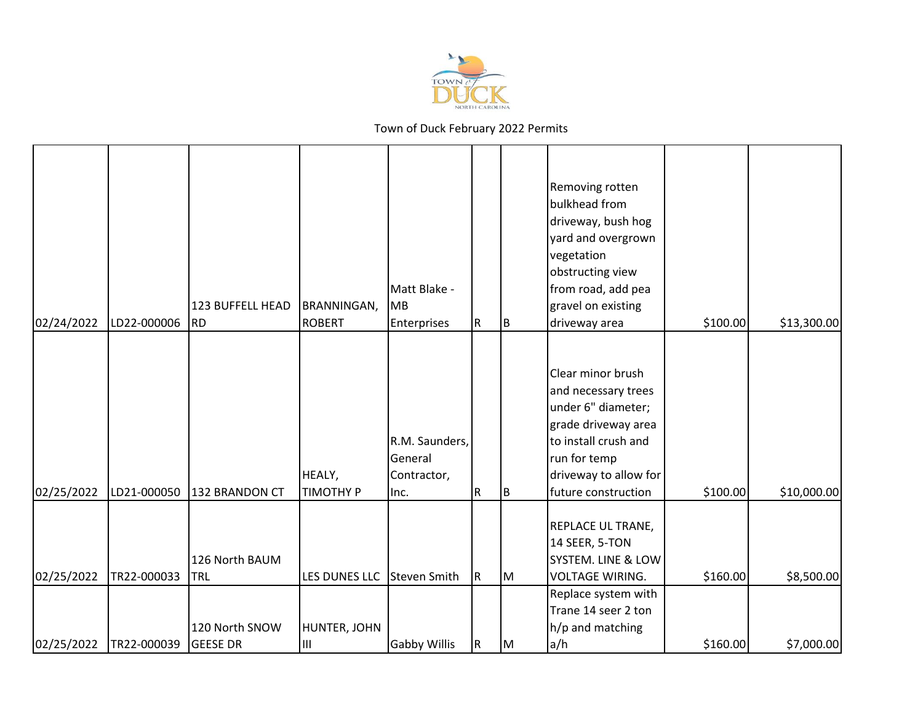

| 02/24/2022 | LD22-000006 | 123 BUFFELL HEAD<br><b>RD</b>     | <b>BRANNINGAN,</b><br><b>ROBERT</b> | Matt Blake -<br>MB<br><b>Enterprises</b>         | R           | B | Removing rotten<br>bulkhead from<br>driveway, bush hog<br>yard and overgrown<br>vegetation<br>obstructing view<br>from road, add pea<br>gravel on existing<br>driveway area   | \$100.00 | \$13,300.00 |
|------------|-------------|-----------------------------------|-------------------------------------|--------------------------------------------------|-------------|---|-------------------------------------------------------------------------------------------------------------------------------------------------------------------------------|----------|-------------|
| 02/25/2022 | LD21-000050 | 132 BRANDON CT                    | HEALY,<br><b>TIMOTHY P</b>          | R.M. Saunders,<br>General<br>Contractor,<br>Inc. | R           | B | Clear minor brush<br>and necessary trees<br>under 6" diameter;<br>grade driveway area<br>to install crush and<br>run for temp<br>driveway to allow for<br>future construction | \$100.00 | \$10,000.00 |
| 02/25/2022 | TR22-000033 | 126 North BAUM<br>TRL             | LES DUNES LLC                       | Steven Smith                                     | IR.         | M | REPLACE UL TRANE,<br>14 SEER, 5-TON<br>SYSTEM. LINE & LOW<br><b>VOLTAGE WIRING.</b><br>Replace system with<br>Trane 14 seer 2 ton                                             | \$160.00 | \$8,500.00  |
| 02/25/2022 | TR22-000039 | 120 North SNOW<br><b>GEESE DR</b> | HUNTER, JOHN<br>Ш                   | Gabby Willis                                     | $\mathsf R$ | M | h/p and matching<br>a/h                                                                                                                                                       | \$160.00 | \$7,000.00  |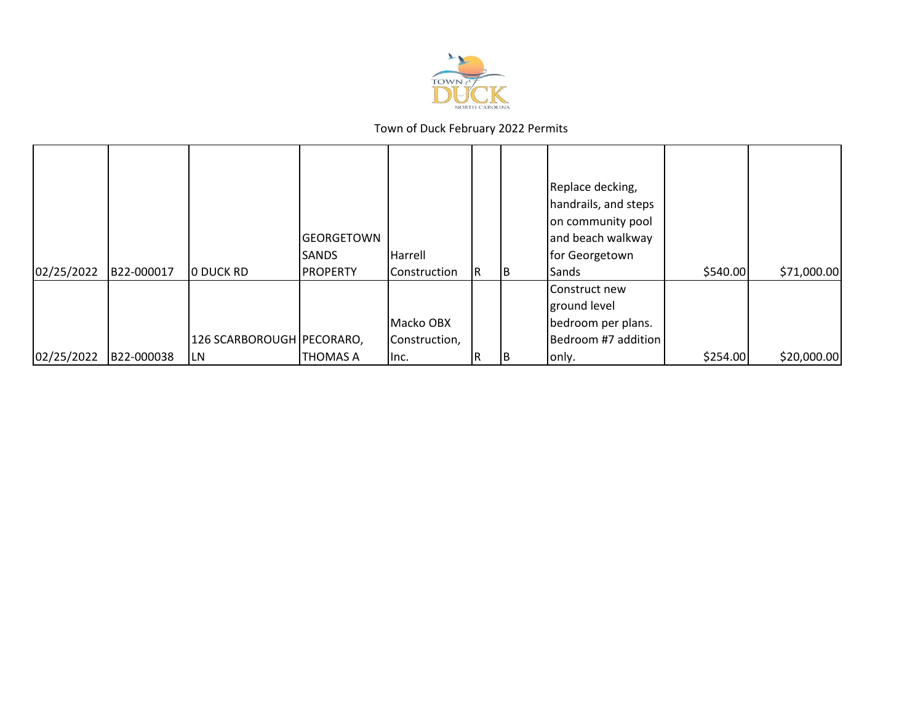

| 02/25/2022 | B22-000017 | O DUCK RD                          | <b>GEORGETOWN</b><br><b>SANDS</b><br><b>PROPERTY</b> | Harrell<br>Construction            | R. | IB. | Replace decking,<br>handrails, and steps<br>on community pool<br>and beach walkway<br>for Georgetown<br>Sands | \$540.00 | \$71,000.00 |
|------------|------------|------------------------------------|------------------------------------------------------|------------------------------------|----|-----|---------------------------------------------------------------------------------------------------------------|----------|-------------|
| 02/25/2022 | B22-000038 | 126 SCARBOROUGH   PECORARO,<br>LN. | <b>THOMAS A</b>                                      | Macko OBX<br>Construction,<br>lnc. |    |     | Construct new<br>ground level<br>bedroom per plans.<br>Bedroom #7 addition<br>only.                           | \$254.00 | \$20,000.00 |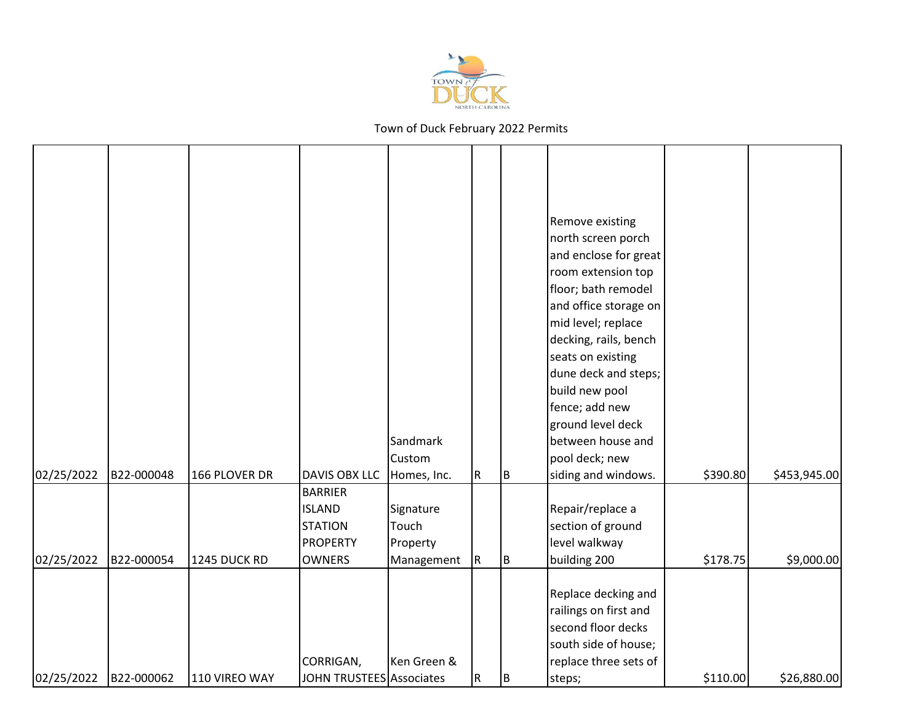

|            |            |                     |                          |                       |           |     | Remove existing                       |          |              |
|------------|------------|---------------------|--------------------------|-----------------------|-----------|-----|---------------------------------------|----------|--------------|
|            |            |                     |                          |                       |           |     | north screen porch                    |          |              |
|            |            |                     |                          |                       |           |     | and enclose for great                 |          |              |
|            |            |                     |                          |                       |           |     | room extension top                    |          |              |
|            |            |                     |                          |                       |           |     | floor; bath remodel                   |          |              |
|            |            |                     |                          |                       |           |     | and office storage on                 |          |              |
|            |            |                     |                          |                       |           |     | mid level; replace                    |          |              |
|            |            |                     |                          |                       |           |     | decking, rails, bench                 |          |              |
|            |            |                     |                          |                       |           |     | seats on existing                     |          |              |
|            |            |                     |                          |                       |           |     | dune deck and steps;                  |          |              |
|            |            |                     |                          |                       |           |     | build new pool                        |          |              |
|            |            |                     |                          |                       |           |     | fence; add new                        |          |              |
|            |            |                     |                          |                       |           |     | ground level deck                     |          |              |
|            |            |                     |                          | Sandmark              |           |     | between house and                     |          |              |
| 02/25/2022 | B22-000048 | 166 PLOVER DR       | <b>DAVIS OBX LLC</b>     | Custom<br>Homes, Inc. | R         | IB. | pool deck; new<br>siding and windows. | \$390.80 | \$453,945.00 |
|            |            |                     | <b>BARRIER</b>           |                       |           |     |                                       |          |              |
|            |            |                     | <b>ISLAND</b>            | Signature             |           |     | Repair/replace a                      |          |              |
|            |            |                     | <b>STATION</b>           | Touch                 |           |     | section of ground                     |          |              |
|            |            |                     | <b>PROPERTY</b>          | Property              |           |     | level walkway                         |          |              |
| 02/25/2022 | B22-000054 | <b>1245 DUCK RD</b> | <b>OWNERS</b>            | Management            | ${\sf R}$ | B   | building 200                          | \$178.75 | \$9,000.00   |
|            |            |                     |                          |                       |           |     |                                       |          |              |
|            |            |                     |                          |                       |           |     | Replace decking and                   |          |              |
|            |            |                     |                          |                       |           |     | railings on first and                 |          |              |
|            |            |                     |                          |                       |           |     | second floor decks                    |          |              |
|            |            |                     |                          |                       |           |     | south side of house;                  |          |              |
|            |            |                     | CORRIGAN,                | Ken Green &           |           |     | replace three sets of                 |          |              |
| 02/25/2022 | B22-000062 | 110 VIREO WAY       | JOHN TRUSTEES Associates |                       | R         | B   | steps;                                | \$110.00 | \$26,880.00  |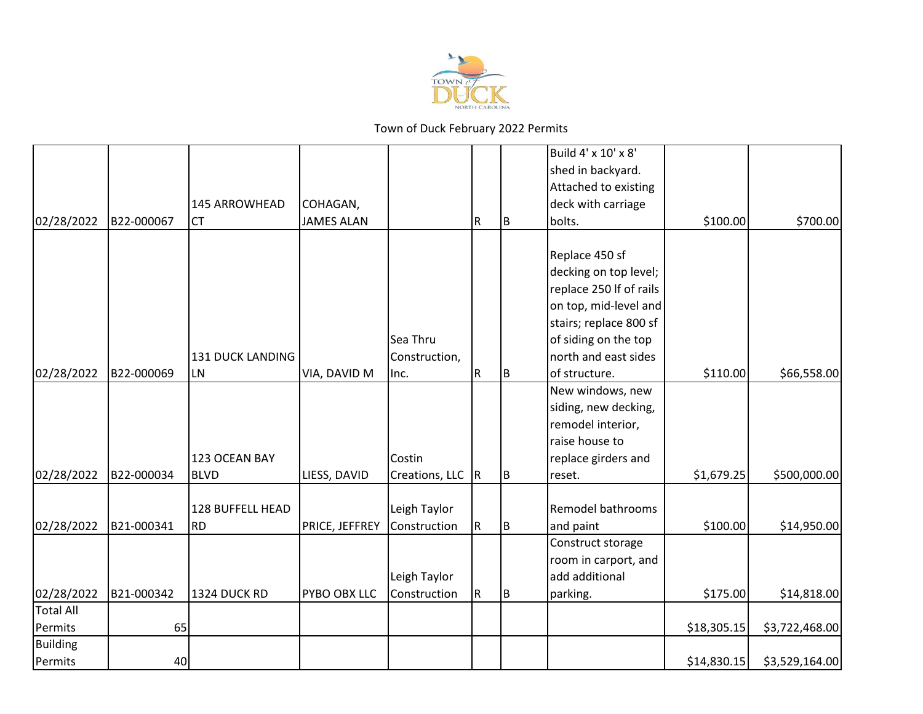

|                  |            |                         |                   |                  |             |     | Build 4' x 10' x 8'     |             |                |
|------------------|------------|-------------------------|-------------------|------------------|-------------|-----|-------------------------|-------------|----------------|
|                  |            |                         |                   |                  |             |     | shed in backyard.       |             |                |
|                  |            |                         |                   |                  |             |     | Attached to existing    |             |                |
|                  |            | 145 ARROWHEAD           | COHAGAN,          |                  |             |     | deck with carriage      |             |                |
| 02/28/2022       | B22-000067 | <b>CT</b>               | <b>JAMES ALAN</b> |                  | R           | ΙB. | bolts.                  | \$100.00    | \$700.00       |
|                  |            |                         |                   |                  |             |     |                         |             |                |
|                  |            |                         |                   |                  |             |     | Replace 450 sf          |             |                |
|                  |            |                         |                   |                  |             |     | decking on top level;   |             |                |
|                  |            |                         |                   |                  |             |     | replace 250 If of rails |             |                |
|                  |            |                         |                   |                  |             |     | on top, mid-level and   |             |                |
|                  |            |                         |                   |                  |             |     | stairs; replace 800 sf  |             |                |
|                  |            |                         |                   | Sea Thru         |             |     | of siding on the top    |             |                |
|                  |            | <b>131 DUCK LANDING</b> |                   | Construction,    |             |     | north and east sides    |             |                |
| 02/28/2022       | B22-000069 | <b>LN</b>               | VIA, DAVID M      | Inc.             | ${\sf R}$   | ΙB. | of structure.           | \$110.00    | \$66,558.00    |
|                  |            |                         |                   |                  |             |     | New windows, new        |             |                |
|                  |            |                         |                   |                  |             |     | siding, new decking,    |             |                |
|                  |            |                         |                   |                  |             |     | remodel interior,       |             |                |
|                  |            |                         |                   |                  |             |     | raise house to          |             |                |
|                  |            | 123 OCEAN BAY           |                   | Costin           |             |     | replace girders and     |             |                |
| 02/28/2022       | B22-000034 | <b>BLVD</b>             | LIESS, DAVID      | Creations, LLC R |             | B   | reset.                  | \$1,679.25  | \$500,000.00   |
|                  |            |                         |                   |                  |             |     |                         |             |                |
|                  |            | 128 BUFFELL HEAD        |                   | Leigh Taylor     |             |     | Remodel bathrooms       |             |                |
| 02/28/2022       | B21-000341 | <b>RD</b>               | PRICE, JEFFREY    | Construction     | $\mathsf R$ | IB. | and paint               | \$100.00    | \$14,950.00    |
|                  |            |                         |                   |                  |             |     | Construct storage       |             |                |
|                  |            |                         |                   |                  |             |     | room in carport, and    |             |                |
|                  |            |                         |                   | Leigh Taylor     |             |     | add additional          |             |                |
| 02/28/2022       | B21-000342 | <b>1324 DUCK RD</b>     | PYBO OBX LLC      | Construction     | $\mathsf R$ | Iв. | parking.                | \$175.00    | \$14,818.00    |
| <b>Total All</b> |            |                         |                   |                  |             |     |                         |             |                |
| Permits          | 65         |                         |                   |                  |             |     |                         | \$18,305.15 | \$3,722,468.00 |
| Building         |            |                         |                   |                  |             |     |                         |             |                |
| Permits          | 40         |                         |                   |                  |             |     |                         | \$14,830.15 | \$3,529,164.00 |